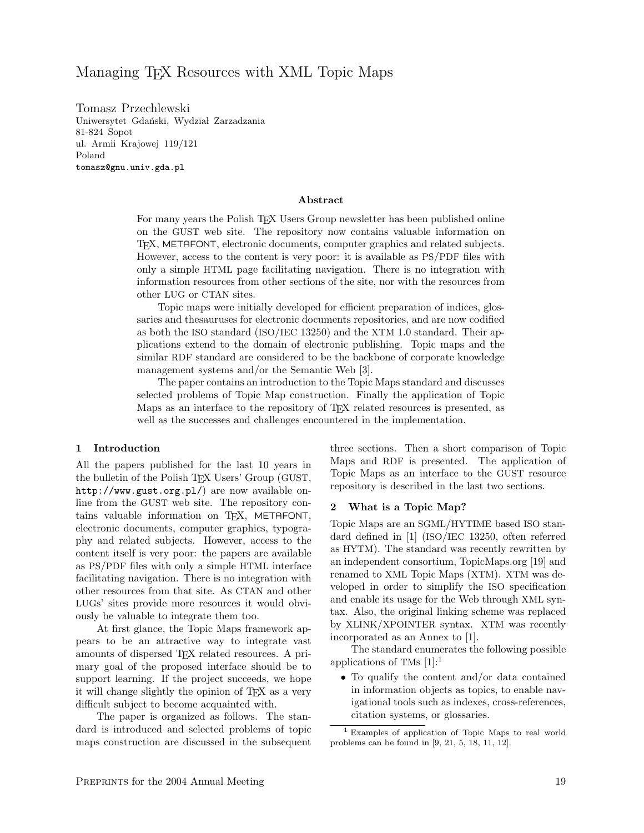# Managing TEX Resources with XML Topic Maps

Tomasz Przechlewski Uniwersytet Gdański, Wydział Zarzadzania 81-824 Sopot ul. Armii Krajowej 119/121 Poland tomasz@gnu.univ.gda.pl

#### Abstract

For many years the Polish TEX Users Group newsletter has been published online on the GUST web site. The repository now contains valuable information on TEX, METAFONT, electronic documents, computer graphics and related subjects. However, access to the content is very poor: it is available as PS/PDF files with only a simple HTML page facilitating navigation. There is no integration with information resources from other sections of the site, nor with the resources from other LUG or CTAN sites.

Topic maps were initially developed for efficient preparation of indices, glossaries and thesauruses for electronic documents repositories, and are now codified as both the ISO standard (ISO/IEC 13250) and the XTM 1.0 standard. Their applications extend to the domain of electronic publishing. Topic maps and the similar RDF standard are considered to be the backbone of corporate knowledge management systems and/or the Semantic Web [3].

The paper contains an introduction to the Topic Maps standard and discusses selected problems of Topic Map construction. Finally the application of Topic Maps as an interface to the repository of TEX related resources is presented, as well as the successes and challenges encountered in the implementation.

#### 1 Introduction

All the papers published for the last 10 years in the bulletin of the Polish T<sub>EX</sub> Users' Group (GUST, http://www.gust.org.pl/) are now available online from the GUST web site. The repository contains valuable information on TFX, METAFONT, electronic documents, computer graphics, typography and related subjects. However, access to the content itself is very poor: the papers are available as PS/PDF files with only a simple HTML interface facilitating navigation. There is no integration with other resources from that site. As CTAN and other LUGs' sites provide more resources it would obviously be valuable to integrate them too.

At first glance, the Topic Maps framework appears to be an attractive way to integrate vast amounts of dispersed TEX related resources. A primary goal of the proposed interface should be to support learning. If the project succeeds, we hope it will change slightly the opinion of TEX as a very difficult subject to become acquainted with.

The paper is organized as follows. The standard is introduced and selected problems of topic maps construction are discussed in the subsequent three sections. Then a short comparison of Topic Maps and RDF is presented. The application of Topic Maps as an interface to the GUST resource repository is described in the last two sections.

### 2 What is a Topic Map?

Topic Maps are an SGML/HYTIME based ISO standard defined in [1] (ISO/IEC 13250, often referred as HYTM). The standard was recently rewritten by an independent consortium, TopicMaps.org [19] and renamed to XML Topic Maps (XTM). XTM was developed in order to simplify the ISO specification and enable its usage for the Web through XML syntax. Also, the original linking scheme was replaced by XLINK/XPOINTER syntax. XTM was recently incorporated as an Annex to [1].

The standard enumerates the following possible applications of TMs [1]:<sup>1</sup>

• To qualify the content and/or data contained in information objects as topics, to enable navigational tools such as indexes, cross-references, citation systems, or glossaries.

<sup>1</sup> Examples of application of Topic Maps to real world problems can be found in [9, 21, 5, 18, 11, 12].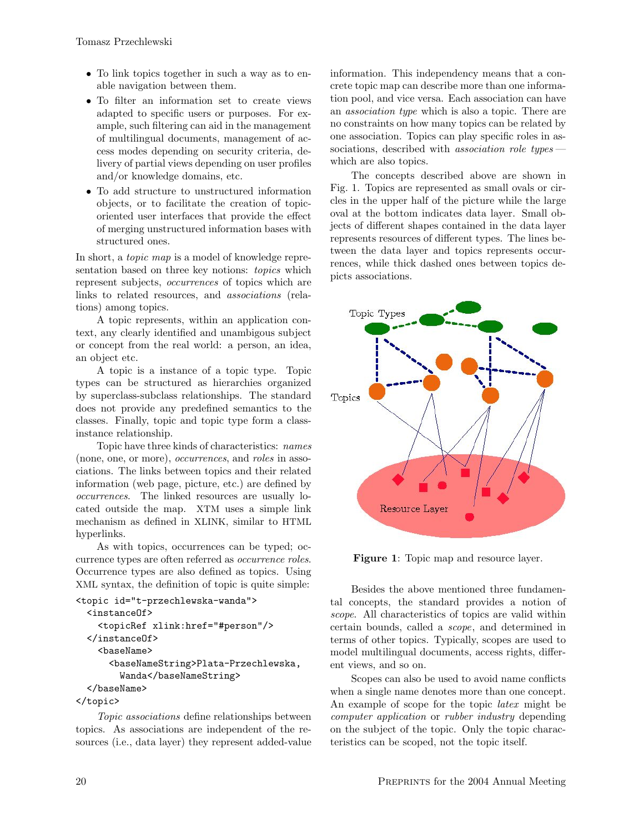- To link topics together in such a way as to enable navigation between them.
- To filter an information set to create views adapted to specific users or purposes. For example, such filtering can aid in the management of multilingual documents, management of access modes depending on security criteria, delivery of partial views depending on user profiles and/or knowledge domains, etc.
- To add structure to unstructured information objects, or to facilitate the creation of topicoriented user interfaces that provide the effect of merging unstructured information bases with structured ones.

In short, a topic map is a model of knowledge representation based on three key notions: topics which represent subjects, occurrences of topics which are links to related resources, and associations (relations) among topics.

A topic represents, within an application context, any clearly identified and unambigous subject or concept from the real world: a person, an idea, an object etc.

A topic is a instance of a topic type. Topic types can be structured as hierarchies organized by superclass-subclass relationships. The standard does not provide any predefined semantics to the classes. Finally, topic and topic type form a classinstance relationship.

Topic have three kinds of characteristics: names (none, one, or more), occurrences, and roles in associations. The links between topics and their related information (web page, picture, etc.) are defined by occurrences. The linked resources are usually located outside the map. XTM uses a simple link mechanism as defined in XLINK, similar to HTML hyperlinks.

As with topics, occurrences can be typed; occurrence types are often referred as occurrence roles. Occurrence types are also defined as topics. Using XML syntax, the definition of topic is quite simple:

```
<topic id="t-przechlewska-wanda">
 <instanceOf>
    <topicRef xlink:href="#person"/>
 </instanceOf>
    <baseName>
      <baseNameString>Plata-Przechlewska,
        Wanda</baseNameString>
 </baseName>
</topic>
```
Topic associations define relationships between topics. As associations are independent of the resources (i.e., data layer) they represent added-value information. This independency means that a concrete topic map can describe more than one information pool, and vice versa. Each association can have an association type which is also a topic. There are no constraints on how many topics can be related by one association. Topics can play specific roles in associations, described with *association role types* which are also topics.

The concepts described above are shown in Fig. 1. Topics are represented as small ovals or circles in the upper half of the picture while the large oval at the bottom indicates data layer. Small objects of different shapes contained in the data layer represents resources of different types. The lines between the data layer and topics represents occurrences, while thick dashed ones between topics depicts associations.



Figure 1: Topic map and resource layer.

Besides the above mentioned three fundamental concepts, the standard provides a notion of scope. All characteristics of topics are valid within certain bounds, called a scope, and determined in terms of other topics. Typically, scopes are used to model multilingual documents, access rights, different views, and so on.

Scopes can also be used to avoid name conflicts when a single name denotes more than one concept. An example of scope for the topic latex might be computer application or rubber industry depending on the subject of the topic. Only the topic characteristics can be scoped, not the topic itself.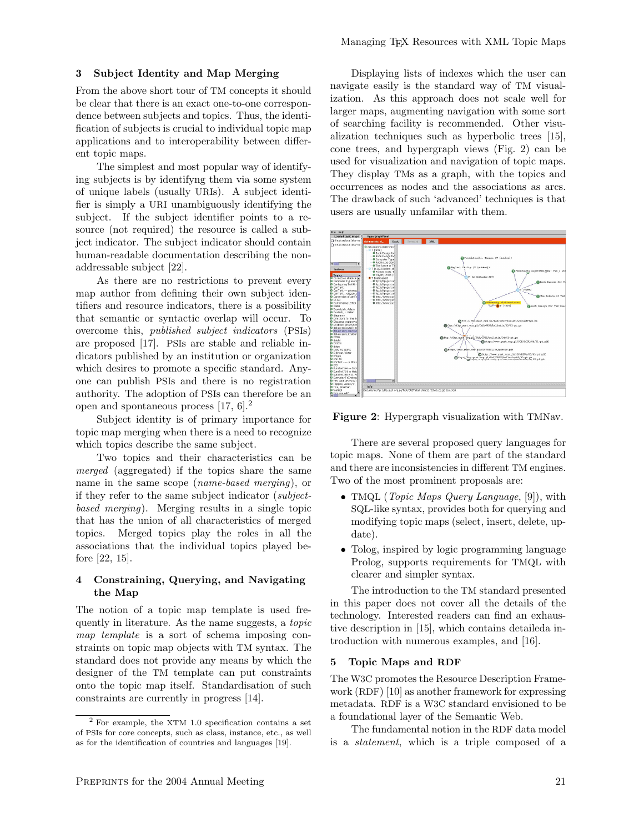### 3 Subject Identity and Map Merging

From the above short tour of TM concepts it should be clear that there is an exact one-to-one correspondence between subjects and topics. Thus, the identification of subjects is crucial to individual topic map applications and to interoperability between different topic maps.

The simplest and most popular way of identifying subjects is by identifyng them via some system of unique labels (usually URIs). A subject identifier is simply a URI unambiguously identifying the subject. If the subject identifier points to a resource (not required) the resource is called a subject indicator. The subject indicator should contain human-readable documentation describing the nonaddressable subject [22].

As there are no restrictions to prevent every map author from defining their own subject identifiers and resource indicators, there is a possibility that semantic or syntactic overlap will occur. To overcome this, published subject indicators (PSIs) are proposed [17]. PSIs are stable and reliable indicators published by an institution or organization which desires to promote a specific standard. Anyone can publish PSIs and there is no registration authority. The adoption of PSIs can therefore be an open and spontaneous process [17, 6].<sup>2</sup>

Subject identity is of primary importance for topic map merging when there is a need to recognize which topics describe the same subject.

Two topics and their characteristics can be merged (aggregated) if the topics share the same name in the same scope (name-based merging), or if they refer to the same subject indicator (subjectbased merging). Merging results in a single topic that has the union of all characteristics of merged topics. Merged topics play the roles in all the associations that the individual topics played before [22, 15].

## 4 Constraining, Querying, and Navigating the Map

The notion of a topic map template is used frequently in literature. As the name suggests, a topic map template is a sort of schema imposing constraints on topic map objects with TM syntax. The standard does not provide any means by which the designer of the TM template can put constraints onto the topic map itself. Standardisation of such constraints are currently in progress [14].

Displaying lists of indexes which the user can navigate easily is the standard way of TM visualization. As this approach does not scale well for larger maps, augmenting navigation with some sort of searching facility is recommended. Other visualization techniques such as hyperbolic trees [15], cone trees, and hypergraph views (Fig. 2) can be used for visualization and navigation of topic maps. They display TMs as a graph, with the topics and occurrences as nodes and the associations as arcs. The drawback of such 'advanced' techniques is that users are usually unfamilar with them.





There are several proposed query languages for topic maps. None of them are part of the standard and there are inconsistencies in different TM engines. Two of the most prominent proposals are:

- TMQL (*Topic Maps Query Language*, [9]), with SQL-like syntax, provides both for querying and modifying topic maps (select, insert, delete, update).
- Tolog, inspired by logic programming language Prolog, supports requirements for TMQL with clearer and simpler syntax.

The introduction to the TM standard presented in this paper does not cover all the details of the technology. Interested readers can find an exhaustive description in [15], which contains detaileda introduction with numerous examples, and [16].

#### 5 Topic Maps and RDF

The W3C promotes the Resource Description Framework (RDF) [10] as another framework for expressing metadata. RDF is a W3C standard envisioned to be a foundational layer of the Semantic Web.

The fundamental notion in the RDF data model is a statement, which is a triple composed of a

<sup>2</sup> For example, the XTM 1.0 specification contains a set of PSIs for core concepts, such as class, instance, etc., as well as for the identification of countries and languages [19].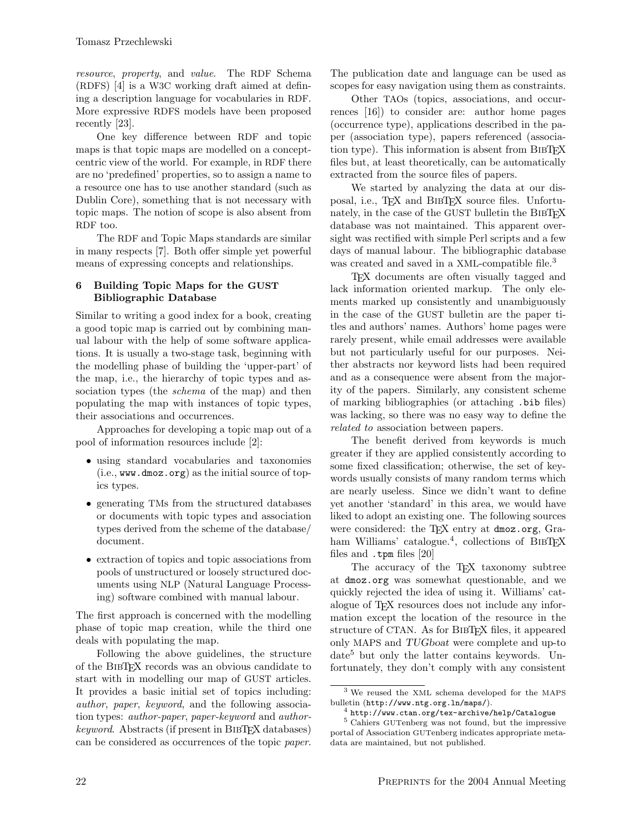resource, property, and value. The RDF Schema (RDFS) [4] is a W3C working draft aimed at defining a description language for vocabularies in RDF. More expressive RDFS models have been proposed recently [23].

One key difference between RDF and topic maps is that topic maps are modelled on a conceptcentric view of the world. For example, in RDF there are no 'predefined' properties, so to assign a name to a resource one has to use another standard (such as Dublin Core), something that is not necessary with topic maps. The notion of scope is also absent from RDF too.

The RDF and Topic Maps standards are similar in many respects [7]. Both offer simple yet powerful means of expressing concepts and relationships.

# 6 Building Topic Maps for the GUST Bibliographic Database

Similar to writing a good index for a book, creating a good topic map is carried out by combining manual labour with the help of some software applications. It is usually a two-stage task, beginning with the modelling phase of building the 'upper-part' of the map, i.e., the hierarchy of topic types and association types (the *schema* of the map) and then populating the map with instances of topic types, their associations and occurrences.

Approaches for developing a topic map out of a pool of information resources include [2]:

- using standard vocabularies and taxonomies (i.e., www.dmoz.org) as the initial source of topics types.
- generating TMs from the structured databases or documents with topic types and association types derived from the scheme of the database/ document.
- extraction of topics and topic associations from pools of unstructured or loosely structured documents using NLP (Natural Language Processing) software combined with manual labour.

The first approach is concerned with the modelling phase of topic map creation, while the third one deals with populating the map.

Following the above guidelines, the structure of the BibTEX records was an obvious candidate to start with in modelling our map of GUST articles. It provides a basic initial set of topics including: author, paper, keyword, and the following association types: author-paper, paper-keyword and authorkeyword. Abstracts (if present in BIBTEX databases) can be considered as occurrences of the topic paper. The publication date and language can be used as scopes for easy navigation using them as constraints.

Other TAOs (topics, associations, and occurrences [16]) to consider are: author home pages (occurrence type), applications described in the paper (association type), papers referenced (association type). This information is absent from BIBT<sub>EX</sub> files but, at least theoretically, can be automatically extracted from the source files of papers.

We started by analyzing the data at our disposal, i.e., TEX and BIBTEX source files. Unfortunately, in the case of the GUST bulletin the BIBT<sub>EX</sub> database was not maintained. This apparent oversight was rectified with simple Perl scripts and a few days of manual labour. The bibliographic database was created and saved in a XML-compatible file.<sup>3</sup>

TEX documents are often visually tagged and lack information oriented markup. The only elements marked up consistently and unambiguously in the case of the GUST bulletin are the paper titles and authors' names. Authors' home pages were rarely present, while email addresses were available but not particularly useful for our purposes. Neither abstracts nor keyword lists had been required and as a consequence were absent from the majority of the papers. Similarly, any consistent scheme of marking bibliographies (or attaching .bib files) was lacking, so there was no easy way to define the related to association between papers.

The benefit derived from keywords is much greater if they are applied consistently according to some fixed classification; otherwise, the set of keywords usually consists of many random terms which are nearly useless. Since we didn't want to define yet another 'standard' in this area, we would have liked to adopt an existing one. The following sources were considered: the TEX entry at dmoz.org, Graham Williams' catalogue.<sup>4</sup>, collections of BIBTEX files and .tpm files [20]

The accuracy of the TEX taxonomy subtree at dmoz.org was somewhat questionable, and we quickly rejected the idea of using it. Williams' catalogue of TEX resources does not include any information except the location of the resource in the structure of CTAN. As for BIBT<sub>F</sub>X files, it appeared only MAPS and TUGboat were complete and up-to date<sup>5</sup> but only the latter contains keywords. Unfortunately, they don't comply with any consistent

<sup>3</sup> We reused the XML schema developed for the MAPS bulletin (http://www.ntg.org.ln/maps/).

<sup>4</sup> http://www.ctan.org/tex-archive/help/Catalogue

<sup>5</sup> Cahiers GUTenberg was not found, but the impressive portal of Association GUTenberg indicates appropriate metadata are maintained, but not published.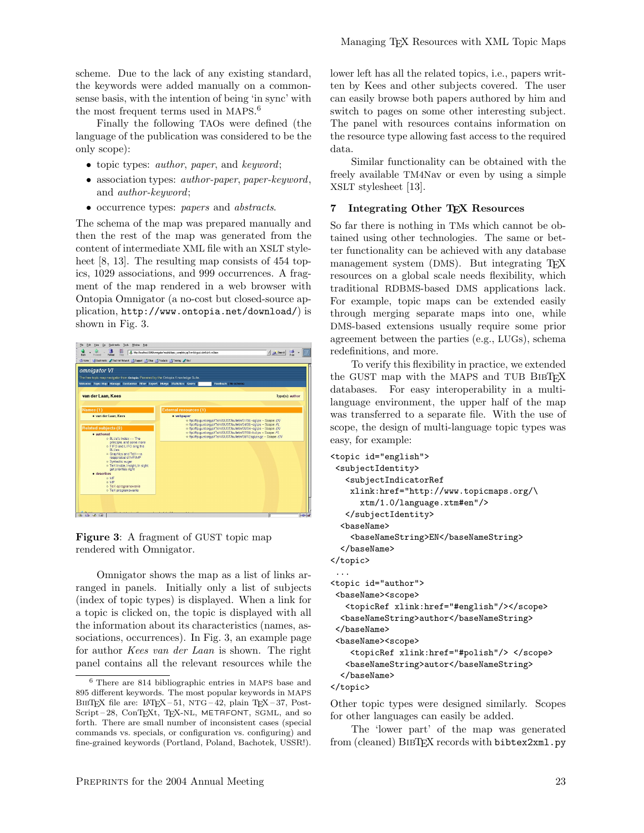scheme. Due to the lack of any existing standard, the keywords were added manually on a commonsense basis, with the intention of being 'in sync' with the most frequent terms used in MAPS. 6

Finally the following TAOs were defined (the language of the publication was considered to be the only scope):

- topic types: *author*, *paper*, and *keyword*;
- association types: *author-paper*, *paper-keyword*, and author-keyword;
- occurrence types: papers and abstracts.

The schema of the map was prepared manually and then the rest of the map was generated from the content of intermediate XML file with an XSLT styleheet [8, 13]. The resulting map consists of 454 topics, 1029 associations, and 999 occurrences. A fragment of the map rendered in a web browser with Ontopia Omnigator (a no-cost but closed-source application, http://www.ontopia.net/download/) is shown in Fig. 3.

| omnigator VI<br>The free topic map navigator from Ontopia. Powered by the Ontopia Knowledge Suite.<br>Welcome Topic Map   Manage   Customise   Filter   Export   Merge   Statistics   Query  <br>Feedback   No schema                                 |                                                                                                                                                                                                                                                                                      |
|-------------------------------------------------------------------------------------------------------------------------------------------------------------------------------------------------------------------------------------------------------|--------------------------------------------------------------------------------------------------------------------------------------------------------------------------------------------------------------------------------------------------------------------------------------|
|                                                                                                                                                                                                                                                       |                                                                                                                                                                                                                                                                                      |
| Names (1)<br>· van der Laan. Kees                                                                                                                                                                                                                     | <b>External resources (1)</b><br>• webpaper<br>o ftp://ftp.gust.org.pl/TeX/GUST/bulletin/01/06-cal.ps - Scope: EN                                                                                                                                                                    |
| <b>Related subjects (9)</b><br>· authored<br>o BLUe's Index -- The<br>principle, and some more<br>o FIFO and LIFO sing the<br><b>RILIPS</b><br>o Graphics and TeX--a<br>reappraisal of MF/MP<br>· Syntactic sugar<br>o TeX inside, insight, in sight: | o ftp://to.gust.org.pl/TeX/GUST/bulletin/04/05-col.ps - Scope: PL<br>o ftp://ftp.gust.org.pl/TeX/GUST/bulletin/05/04-cgl.ps - Scope: EN<br>o ftp://to.pust.grp.pl/TeX/GUST/bulletin/07/09-kvl.ps - Scope: PL<br>o ftp://ftp.gust.org.pl/TeX/GUST/bulletin/09/12cgl.ps.gz - Scope: EN |
| get priorities right<br>· describes<br>o MF<br>o MP<br>o TeX oprogramowanie                                                                                                                                                                           |                                                                                                                                                                                                                                                                                      |

Figure 3: A fragment of GUST topic map rendered with Omnigator.

Omnigator shows the map as a list of links arranged in panels. Initially only a list of subjects (index of topic types) is displayed. When a link for a topic is clicked on, the topic is displayed with all the information about its characteristics (names, associations, occurrences). In Fig. 3, an example page for author Kees van der Laan is shown. The right panel contains all the relevant resources while the lower left has all the related topics, i.e., papers written by Kees and other subjects covered. The user can easily browse both papers authored by him and switch to pages on some other interesting subject. The panel with resources contains information on the resource type allowing fast access to the required data.

Similar functionality can be obtained with the freely available TM4Nav or even by using a simple XSLT stylesheet [13].

### 7 Integrating Other T<sub>E</sub>X Resources

So far there is nothing in TMs which cannot be obtained using other technologies. The same or better functionality can be achieved with any database management system (DMS). But integrating T<sub>F</sub>X resources on a global scale needs flexibility, which traditional RDBMS-based DMS applications lack. For example, topic maps can be extended easily through merging separate maps into one, while DMS-based extensions usually require some prior agreement between the parties (e.g., LUGs), schema redefinitions, and more.

To verify this flexibility in practice, we extended the GUST map with the MAPS and TUB BIBTEX databases. For easy interoperability in a multilanguage environment, the upper half of the map was transferred to a separate file. With the use of scope, the design of multi-language topic types was easy, for example:

```
<topic id="english">
<subjectIdentity>
  <subjectIndicatorRef
   xlink:href="http://www.topicmaps.org/\
      xtm/1.0/language.xtm#en"/>
  </subjectIdentity>
  <baseName>
   <baseNameString>EN</baseNameString>
  </baseName>
</topic>
 ...
<topic id="author">
<baseName><scope>
   <topicRef xlink:href="#english"/></scope>
  <baseNameString>author</baseNameString>
</baseName>
<baseName><scope>
   <topicRef xlink:href="#polish"/> </scope>
   <baseNameString>autor</baseNameString>
  </baseName>
</topic>
```
Other topic types were designed similarly. Scopes for other languages can easily be added.

The 'lower part' of the map was generated from (cleaned) BIBTEX records with bibtex2xml.py

<sup>6</sup> There are 814 bibliographic entries in MAPS base and 895 different keywords. The most popular keywords in MAPS BIBTEX file are: LATEX – 51, NTG – 42, plain TEX – 37, Post-Script – 28, ConTEXt, TEX-NL, METAFONT, SGML, and so forth. There are small number of inconsistent cases (special commands vs. specials, or configuration vs. configuring) and fine-grained keywords (Portland, Poland, Bachotek, USSR!).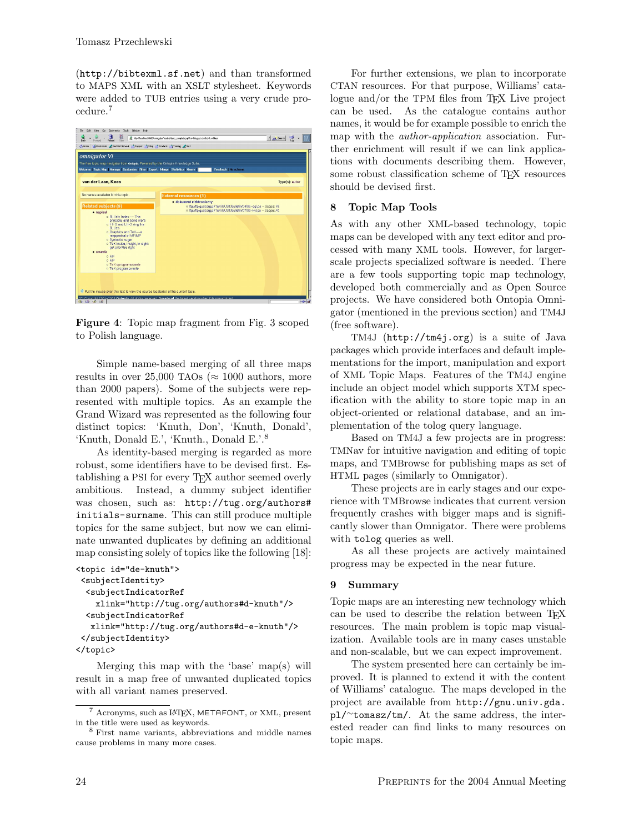(http://bibtexml.sf.net) and than transformed to MAPS XML with an XSLT stylesheet. Keywords were added to TUB entries using a very crude procedure.<sup>7</sup>



Figure 4: Topic map fragment from Fig. 3 scoped to Polish language.

Simple name-based merging of all three maps results in over 25,000 TAOs ( $\approx$  1000 authors, more than 2000 papers). Some of the subjects were represented with multiple topics. As an example the Grand Wizard was represented as the following four distinct topics: 'Knuth, Don', 'Knuth, Donald', 'Knuth, Donald E.', 'Knuth., Donald E.'.<sup>8</sup>

As identity-based merging is regarded as more robust, some identifiers have to be devised first. Establishing a PSI for every TEX author seemed overly ambitious. Instead, a dummy subject identifier was chosen, such as: http://tug.org/authors# initials-surname. This can still produce multiple topics for the same subject, but now we can eliminate unwanted duplicates by defining an additional map consisting solely of topics like the following [18]:

```
<topic id="de-knuth">
<subjectIdentity>
  <subjectIndicatorRef
    xlink="http://tug.org/authors#d-knuth"/>
  <subjectIndicatorRef
   xlink="http://tug.org/authors#d-e-knuth"/>
</subjectIdentity>
</topic>
```
Merging this map with the 'base' map(s) will result in a map free of unwanted duplicated topics with all variant names preserved.

For further extensions, we plan to incorporate CTAN resources. For that purpose, Williams' catalogue and/or the TPM files from T<sub>F</sub>X Live project can be used. As the catalogue contains author names, it would be for example possible to enrich the map with the *author-application* association. Further enrichment will result if we can link applications with documents describing them. However, some robust classification scheme of T<sub>E</sub>X resources should be devised first.

# 8 Topic Map Tools

As with any other XML-based technology, topic maps can be developed with any text editor and processed with many XML tools. However, for largerscale projects specialized software is needed. There are a few tools supporting topic map technology, developed both commercially and as Open Source projects. We have considered both Ontopia Omnigator (mentioned in the previous section) and TM4J (free software).

TM4J (http://tm4j.org) is a suite of Java packages which provide interfaces and default implementations for the import, manipulation and export of XML Topic Maps. Features of the TM4J engine include an object model which supports XTM specification with the ability to store topic map in an object-oriented or relational database, and an implementation of the tolog query language.

Based on TM4J a few projects are in progress: TMNav for intuitive navigation and editing of topic maps, and TMBrowse for publishing maps as set of HTML pages (similarly to Omnigator).

These projects are in early stages and our experience with TMBrowse indicates that current version frequently crashes with bigger maps and is significantly slower than Omnigator. There were problems with tolog queries as well.

As all these projects are actively maintained progress may be expected in the near future.

# 9 Summary

Topic maps are an interesting new technology which can be used to describe the relation between TEX resources. The main problem is topic map visualization. Available tools are in many cases unstable and non-scalable, but we can expect improvement.

The system presented here can certainly be improved. It is planned to extend it with the content of Williams' catalogue. The maps developed in the project are available from http://gnu.univ.gda. pl/∼tomasz/tm/. At the same address, the interested reader can find links to many resources on topic maps.

<sup>7</sup> Acronyms, such as LATEX, METAFONT, or XML, present in the title were used as keywords.

<sup>8</sup> First name variants, abbreviations and middle names cause problems in many more cases.